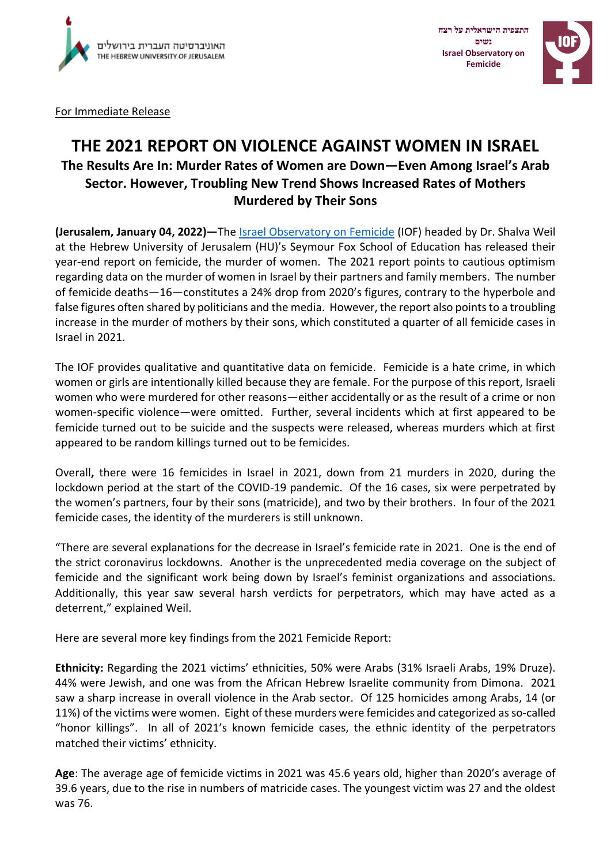

**התצפית הישראלית על רצח נשים Israel Observatory on Femicide**



For Immediate Release

## **THE 2021 REPORT ON VIOLENCE AGAINST WOMEN IN ISRAEL**

## **The Results Are In: Murder Rates of Women are Down—Even Among Israel's Arab Sector. However, Troubling New Trend Shows Increased Rates of Mothers Murdered by Their Sons**

**(Jerusalem, January 04, 2022)—**The [Israel Observatory on Femicide](http://www.israelfemicide.org/) (IOF) headed by Dr. Shalva Weil at the Hebrew University of Jerusalem (HU)'s Seymour Fox School of Education has released their year-end report on femicide, the murder of women. The 2021 report points to cautious optimism regarding data on the murder of women in Israel by their partners and family members. The number of femicide deaths—16—constitutes a 24% drop from 2020's figures, contrary to the hyperbole and false figures often shared by politicians and the media. However, the report also points to a troubling increase in the murder of mothers by their sons, which constituted a quarter of all femicide cases in Israel in 2021.

The IOF provides qualitative and quantitative data on femicide. Femicide is a hate crime, in which women or girls are intentionally killed because they are female. For the purpose of this report, Israeli women who were murdered for other reasons—either accidentally or as the result of a crime or non women-specific violence—were omitted. Further, several incidents which at first appeared to be femicide turned out to be suicide and the suspects were released, whereas murders which at first appeared to be random killings turned out to be femicides.

Overall**,** there were 16 femicides in Israel in 2021, down from 21 murders in 2020, during the lockdown period at the start of the COVID-19 pandemic. Of the 16 cases, six were perpetrated by the women's partners, four by their sons (matricide), and two by their brothers. In four of the 2021 femicide cases, the identity of the murderers is still unknown.

"There are several explanations for the decrease in Israel's femicide rate in 2021. One is the end of the strict coronavirus lockdowns. Another is the unprecedented media coverage on the subject of femicide and the significant work being down by Israel's feminist organizations and associations. Additionally, this year saw several harsh verdicts for perpetrators, which may have acted as a deterrent," explained Weil.

Here are several more key findings from the 2021 Femicide Report:

**Ethnicity:** Regarding the 2021 victims' ethnicities, 50% were Arabs (31% Israeli Arabs, 19% Druze). 44% were Jewish, and one was from the African Hebrew Israelite community from Dimona. 2021 saw a sharp increase in overall violence in the Arab sector. Of 125 homicides among Arabs, 14 (or 11%) of the victims were women. Eight of these murders were femicides and categorized as so-called "honor killings". In all of 2021's known femicide cases, the ethnic identity of the perpetrators matched their victims' ethnicity.

**Age**: The average age of femicide victims in 2021 was 45.6 years old, higher than 2020's average of 39.6 years, due to the rise in numbers of matricide cases. The youngest victim was 27 and the oldest was 76.